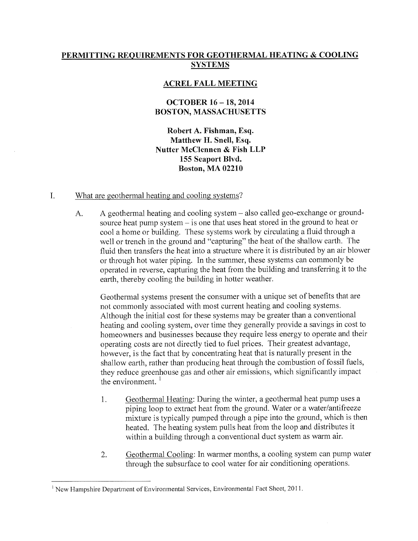# PERMITTING REQUIREMENTS FOR GEOTHERMAL HEATING & COOLING **SYSTEMS**

### ACREL FALL MEETING

## OCTOBER 16 — 18, 2014 BOSTON, MASSACHUSETTS

Robert A. Fishman, Esq. Matthew H. Snell, Esq. Nutter McClennen & Fish LLP 155 Seaport Blvd. Boston, MA 02210

### I. What are geothermal heating and cooling systems?

A. A geothermal heating and cooling system — also called geo-exchange or groundsource heat pump system — is one that uses heat stored in the ground to heat or cool a home or building. These systems work by circulating a fluid through a well or trench in the ground and "capturing" the heat of the shallow earth. The fluid then transfers the heat into a structure where it is distributed by an air blower or through hot water piping. In the summer, these systems can commonly be operated in reverse, capturing the heat from the building and transferring it to the earth, thereby cooling the building in hotter weather.

Geothermal systems present the consumer with a unique set of benefits that are not commonly associated with most current heating and cooling systems. Although the initial cost for these systems may be greater than a conventional heating and cooling system, over time they generally provide a savings in cost to homeowners and businesses because they require less energy to operate and their operating costs are not directly tied to fuel prices. Their greatest advantage, however, is the fact that by concentrating heat that is naturally present in the shallow earth, rather than producing heat through the combustion of fossil fuels, they reduce greenhouse gas and other air emissions, which significantly impact the environment.  $1$ 

- 1. Geothermal Heating: During the winter, a geothermal heat pump uses a piping loop to extract heat from the ground. Water or a water/antifreeze mixture is typically pumped through a pipe into the ground, which is then heated. The heating system pulls heat from the loop and distributes it within a building through a conventional duct system as warm air.
- 2. Geothermal Cooling: In warmer months, a cooling system can pump water through the subsurface to cool water for air conditioning operations.

<sup>&</sup>lt;sup>1</sup> New Hampshire Department of Environmental Services, Environmental Fact Sheet, 2011.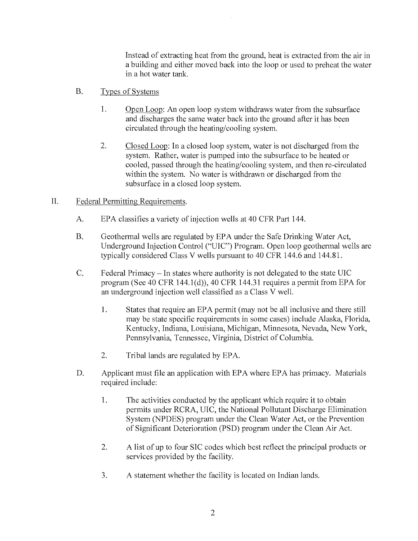Instead of extracting heat from the ground, heat is extracted from the air in a building and either moved back into the loop or used to preheat the water in a hot water tank.

- B. Types of Systems
	- 1. Open Loop: An open loop system withdraws water from the subsurface and discharges the same water back into the ground after it has been circulated through the heating/cooling system.
	- 2. Closed Loop: In a closed loop system, water is not discharged from the system. Rather, water is pumped into the subsurface to be heated or cooled, passed through the heating/cooling system, and then re-circulated within the system. No water is withdrawn or discharged from the subsurface in a closed loop system.

#### $II.$ Federal Permitting Requirements.

- A. EPA classifies a variety of injection wells at 40 CFR Part 144.
- B. Geothermal wells are regulated by EPA under the Safe Drinking Water Act, Underground Injection Control ("UIC") Program. Open loop geothermal wells are typically considered Class V wells pursuant to 40 CFR 144.6 and 144.81.
- C. Federal Primacy In states where authority is not delegated to the state UIC program (See 40 CFR 144.1(d)), 40 CFR 144.31 requires a permit from EPA for an underground injection well classified as a Class V well.
	- 1. States that require an EPA permit (may not be all inclusive and there still may be state specific requirements in some cases) include Alaska, Florida, Kentucky, Indiana, Louisiana, Michigan, Minnesota, Nevada, New York, Pennsylvania, Tennessee, Virginia, District of Columbia.
	- 2. Tribal lands are regulated by EPA.
- D. Applicant must file an application with EPA where EPA has primacy. Materials required include:
	- 1. The activities conducted by the applicant which require it to obtain permits under RCRA, UIC, the National Pollutant Discharge Elimination System (NPDES) program under the Clean Water Act, or the Prevention of Significant Deterioration (PSD) program under the Clean Air Act.
	- 2. A list of up to four SIC codes which best reflect the principal products or services provided by the facility.
	- 3. A statement whether the facility is located on Indian lands.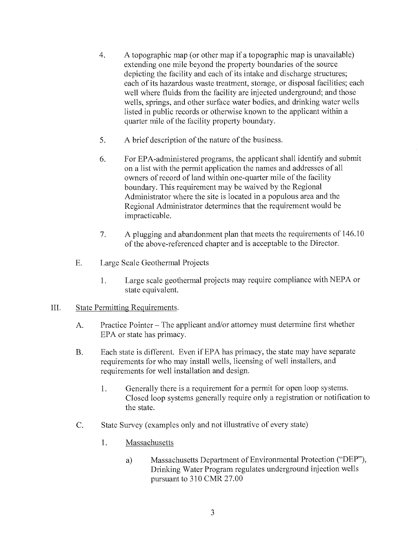- 4. A topographic map (or other map if a topographic map is unavailable) extending one mile beyond the property boundaries of the source depicting the facility and each of its intake and discharge structures; each of its hazardous waste treatment, storage, or disposal facilities; each well where fluids from the facility are injected underground; and those wells, springs, and other surface water bodies, and drinking water wells listed in public records or otherwise known to the applicant within a quarter mile of the facility property boundary.
- 5. A brief description of the nature of the business.
- 6. For EPA-administered programs, the applicant shall identify and submit on a list with the permit application the names and addresses of all owners of record of land within one-quarter mile of the facility boundary. This requirement may be waived by the Regional Administrator where the site is located in a populous area and the Regional Administrator determines that the requirement would be impracticable.
- 7. A plugging and abandonment plan that meets the requirements of 146.10 of the above-referenced chapter and is acceptable to the Director.
- E. Large Scale Geothermal Projects
	- 1. Large scale geothermal projects may require compliance with NEPA or state equivalent.

#### III. State Permitting Requirements.

- A. Practice Pointer The applicant and/or attorney must determine first whether EPA or state has primacy.
- B. Each state is different. Even if EPA has primacy, the state may have separate requirements for who may install wells, licensing of well installers, and requirements for well installation and design.
	- 1. Generally there is a requirement for a permit for open loop systems. Closed loop systems generally require only a registration or notification to the state.
- C. State Survey (examples only and not illustrative of every state)
	- 1. Massachusetts
		- a) Massachusetts Department of Environmental Protection ("DEP"), Drinking Water Program regulates underground injection wells pursuant to 310 CMR 27.00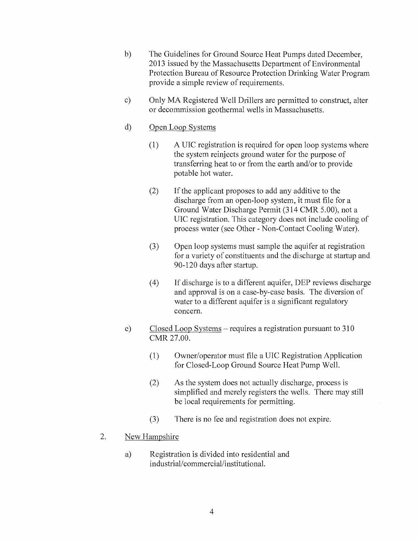- b) The Guidelines for Ground Source Heat Pumps dated December, 2013 issued by the Massachusetts Department of Environmental Protection Bureau of Resource Protection Drinking Water Program provide a simple review of requirements.
- c) Only MA Registered Well Drillers are permitted to construct, alter or decommission geothermal wells in Massachusetts.

## d) Open Loop Systems

- (1) A UIC registration is required for open loop systems where the system reinjects ground water for the purpose of transferring heat to or from the earth and/or to provide potable hot water.
- (2) If the applicant proposes to add any additive to the discharge from an open-loop system, it must file for a Ground Water Discharge Permit (314 CMR 5.00), not a UIC registration. This category does not include cooling of process water (see Other - Non-Contact Cooling Water).
- (3) Open loop systems must sample the aquifer at registration for a variety of constituents and the discharge at startup and 90-120 days after startup.
- (4) If discharge is to a different aquifer, DEP reviews discharge and approval is on a case-by-case basis. The diversion of water to a different aquifer is a significant regulatory concern.
- e) Closed Loop Systems requires a registration pursuant to 310 CMR 27.00.
	- (1) Owner/operator must file a UIC Registration Application for Closed-Loop Ground Source Heat Pump Well.
	- (2) As the system does not actually discharge, process is simplified and merely registers the wells. There may still be local requirements for permitting.
	- (3) There is no fee and registration does not expire.

# 2. New Hampshire

a) Registration is divided into residential and industrial/commercial/institutional.